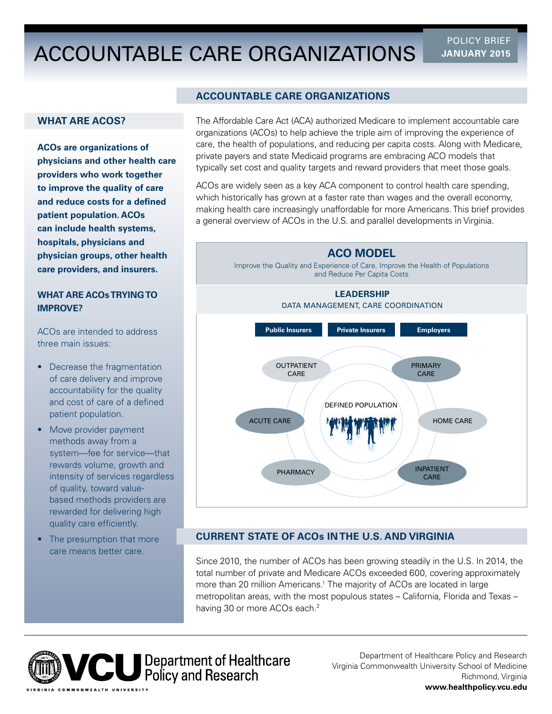# ACCOUNTABLE CARE ORGANIZATIONS **JANUARY 2015**

POLICY BRIEF

## **WHAT ARE ACOS?**

**ACOs are organizations of physicians and other health care providers who work together to improve the quality of care and reduce costs for a defned patient population. ACOs can include health systems, hospitals, physicians and physician groups, other health care providers, and insurers.** 

## **WHAT ARE ACOs TRYING TO IMPROVE?**

ACOs are intended to address three main issues:

- Decrease the fragmentation of care delivery and improve accountability for the quality and cost of care of a defined patient population.
- Move provider payment methods away from a system—fee for service—that rewards volume, growth and intensity of services regardless of quality, toward valuebased methods providers are rewarded for delivering high quality care efficiently.
- The presumption that more care means better care.

### **ACCOUNTABLE CARE ORGANIZATIONS**

The Affordable Care Act (ACA) authorized Medicare to implement accountable care organizations (ACOs) to help achieve the triple aim of improving the experience of care, the health of populations, and reducing per capita costs. Along with Medicare, private payers and state Medicaid programs are embracing ACO models that typically set cost and quality targets and reward providers that meet those goals.

ACOs are widely seen as a key ACA component to control health care spending, which historically has grown at a faster rate than wages and the overall economy, making health care increasingly unaffordable for more Americans. This brief provides a general overview of ACOs in the U.S. and parallel developments in Virginia.



# **CURRENT STATE OF ACOs IN THE U.S. AND VIRGINIA**

having 30 or more ACOs each.<sup>2</sup> Since 2010, the number of ACOs has been growing steadily in the U.S. In 2014, the total number of private and Medicare ACOs exceeded 600, covering approximately more than 20 million Americans.1 The majority of ACOs are located in large metropolitan areas, with the most populous states – California, Florida and Texas –



Department of Healthcare Policy and Research Virginia Commonwealth University School of Medicine Richmond, Virginia **<www.healthpolicy.vcu.edu>**